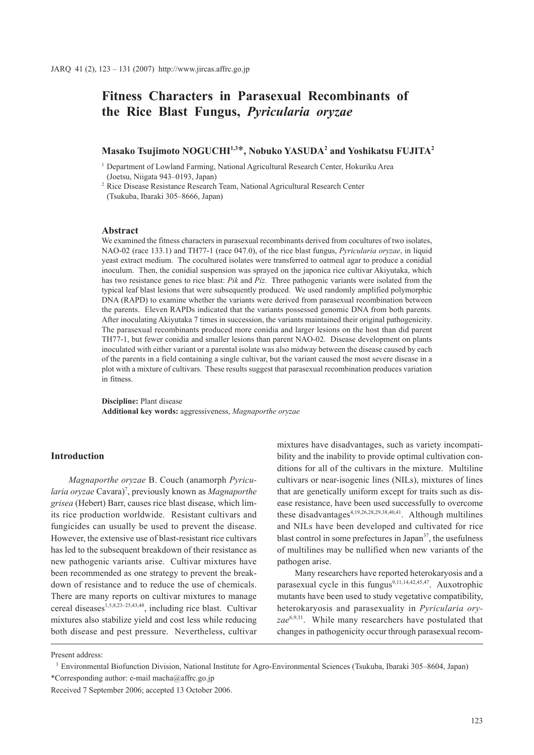# **Fitness Characters in Parasexual Recombinants of the Rice Blast Fungus,** *Pyricularia oryzae*

# **Masako Tsujimoto NOGUCHI1,3**\***, Nobuko YASUDA2 and Yoshikatsu FUJITA2**

<sup>1</sup> Department of Lowland Farming, National Agricultural Research Center, Hokuriku Area (Joetsu, Niigata 943–0193, Japan)

<sup>2</sup> Rice Disease Resistance Research Team, National Agricultural Research Center (Tsukuba, Ibaraki 305–8666, Japan)

# **Abstract**

We examined the fitness characters in parasexual recombinants derived from cocultures of two isolates, NAO-02 (race 133.1) and TH77-1 (race 047.0), of the rice blast fungus, *Pyricularia oryzae*, in liquid yeast extract medium. The cocultured isolates were transferred to oatmeal agar to produce a conidial inoculum. Then, the conidial suspension was sprayed on the japonica rice cultivar Akiyutaka, which has two resistance genes to rice blast: *Pik* and *Piz*. Three pathogenic variants were isolated from the typical leaf blast lesions that were subsequently produced. We used randomly amplified polymorphic DNA (RAPD) to examine whether the variants were derived from parasexual recombination between the parents. Eleven RAPDs indicated that the variants possessed genomic DNA from both parents. After inoculating Akiyutaka 7 times in succession, the variants maintained their original pathogenicity. The parasexual recombinants produced more conidia and larger lesions on the host than did parent TH77-1, but fewer conidia and smaller lesions than parent NAO-02. Disease development on plants inoculated with either variant or a parental isolate was also midway between the disease caused by each of the parents in a field containing a single cultivar, but the variant caused the most severe disease in a plot with a mixture of cultivars. These results suggest that parasexual recombination produces variation in fitness.

**Discipline:** Plant disease **Additional key words:** aggressiveness, *Magnaporthe oryzae*

# **Introduction**

*Magnaporthe oryzae* B. Couch (anamorph *Pyricularia oryzae* Cavara)7 , previously known as *Magnaporthe grisea* (Hebert) Barr, causes rice blast disease, which limits rice production worldwide. Resistant cultivars and fungicides can usually be used to prevent the disease. However, the extensive use of blast-resistant rice cultivars has led to the subsequent breakdown of their resistance as new pathogenic variants arise. Cultivar mixtures have been recommended as one strategy to prevent the breakdown of resistance and to reduce the use of chemicals. There are many reports on cultivar mixtures to manage cereal diseases<sup>1,5,8,23-25,43,48</sup>, including rice blast. Cultivar mixtures also stabilize yield and cost less while reducing both disease and pest pressure. Nevertheless, cultivar

mixtures have disadvantages, such as variety incompatibility and the inability to provide optimal cultivation conditions for all of the cultivars in the mixture. Multiline cultivars or near-isogenic lines (NILs), mixtures of lines that are genetically uniform except for traits such as disease resistance, have been used successfully to overcome these disadvantages<sup>4,19,26,28,29,38,40,41</sup>. Although multilines and NILs have been developed and cultivated for rice blast control in some prefectures in Japan $3^7$ , the usefulness of multilines may be nullified when new variants of the pathogen arise.

Many researchers have reported heterokaryosis and a parasexual cycle in this fungus<sup>9,11,14,42,45,47</sup>. Auxotrophic mutants have been used to study vegetative compatibility, heterokaryosis and parasexuality in *Pyricularia oryzae*6,9,11. While many researchers have postulated that changes in pathogenicity occur through parasexual recom-

Present address:

<sup>3</sup> Environmental Biofunction Division, National Institute for Agro-Environmental Sciences (Tsukuba, Ibaraki 305–8604, Japan) \*Corresponding author: e-mail macha@affrc.go.jp

Received 7 September 2006; accepted 13 October 2006.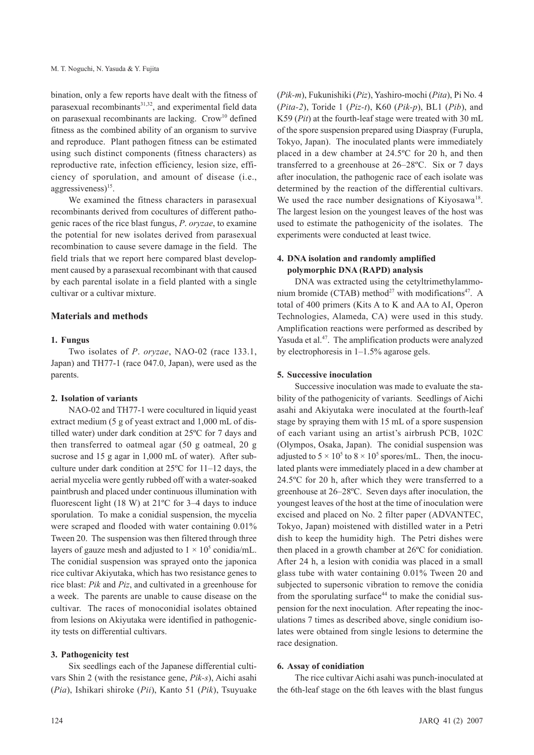bination, only a few reports have dealt with the fitness of parasexual recombinants<sup>31,32</sup>, and experimental field data on parasexual recombinants are lacking.  $Crow<sup>10</sup>$  defined fitness as the combined ability of an organism to survive and reproduce. Plant pathogen fitness can be estimated using such distinct components (fitness characters) as reproductive rate, infection efficiency, lesion size, efficiency of sporulation, and amount of disease (i.e., aggressiveness $)^{15}$ .

We examined the fitness characters in parasexual recombinants derived from cocultures of different pathogenic races of the rice blast fungus, *P*. *oryzae*, to examine the potential for new isolates derived from parasexual recombination to cause severe damage in the field. The field trials that we report here compared blast development caused by a parasexual recombinant with that caused by each parental isolate in a field planted with a single cultivar or a cultivar mixture.

# **Materials and methods**

### **1. Fungus**

Two isolates of *P*. *oryzae*, NAO-02 (race 133.1, Japan) and TH77-1 (race 047.0, Japan), were used as the parents.

### **2. Isolation of variants**

NAO-02 and TH77-1 were cocultured in liquid yeast extract medium (5 g of yeast extract and 1,000 mL of distilled water) under dark condition at 25ºC for 7 days and then transferred to oatmeal agar (50 g oatmeal, 20 g sucrose and 15 g agar in 1,000 mL of water). After subculture under dark condition at 25ºC for 11–12 days, the aerial mycelia were gently rubbed off with a water-soaked paintbrush and placed under continuous illumination with fluorescent light (18 W) at  $21^{\circ}$ C for 3–4 days to induce sporulation. To make a conidial suspension, the mycelia were scraped and flooded with water containing 0.01% Tween 20. The suspension was then filtered through three layers of gauze mesh and adjusted to  $1 \times 10^5$  conidia/mL. The conidial suspension was sprayed onto the japonica rice cultivar Akiyutaka, which has two resistance genes to rice blast: *Pik* and *Piz*, and cultivated in a greenhouse for a week. The parents are unable to cause disease on the cultivar. The races of monoconidial isolates obtained from lesions on Akiyutaka were identified in pathogenicity tests on differential cultivars.

### **3. Pathogenicity test**

Six seedlings each of the Japanese differential cultivars Shin 2 (with the resistance gene, *Pik-s*), Aichi asahi (*Pia*), Ishikari shiroke (*Pii*), Kanto 51 (*Pik*), Tsuyuake

(*Pik-m*), Fukunishiki (*Piz*), Yashiro-mochi (*Pita*), Pi No. 4 (*Pita-2*), Toride 1 (*Piz-t*), K60 (*Pik-p*), BL1 (*Pib*), and K59 (*Pit*) at the fourth-leaf stage were treated with 30 mL of the spore suspension prepared using Diaspray (Furupla, Tokyo, Japan). The inoculated plants were immediately placed in a dew chamber at 24.5ºC for 20 h, and then transferred to a greenhouse at 26–28ºC. Six or 7 days after inoculation, the pathogenic race of each isolate was determined by the reaction of the differential cultivars. We used the race number designations of Kiyosawa<sup>18</sup>. The largest lesion on the youngest leaves of the host was used to estimate the pathogenicity of the isolates. The experiments were conducted at least twice.

## **4. DNA isolation and randomly amplified polymorphic DNA (RAPD) analysis**

DNA was extracted using the cetyltrimethylammonium bromide (CTAB) method<sup>27</sup> with modifications<sup>47</sup>. A total of 400 primers (Kits A to K and AA to AI, Operon Technologies, Alameda, CA) were used in this study. Amplification reactions were performed as described by Yasuda et al.<sup>47</sup>. The amplification products were analyzed by electrophoresis in 1–1.5% agarose gels.

### **5. Successive inoculation**

Successive inoculation was made to evaluate the stability of the pathogenicity of variants. Seedlings of Aichi asahi and Akiyutaka were inoculated at the fourth-leaf stage by spraying them with 15 mL of a spore suspension of each variant using an artist's airbrush PCB, 102C (Olympos, Osaka, Japan). The conidial suspension was adjusted to  $5 \times 10^5$  to  $8 \times 10^5$  spores/mL. Then, the inoculated plants were immediately placed in a dew chamber at 24.5ºC for 20 h, after which they were transferred to a greenhouse at 26–28ºC. Seven days after inoculation, the youngest leaves of the host at the time of inoculation were excised and placed on No. 2 filter paper (ADVANTEC, Tokyo, Japan) moistened with distilled water in a Petri dish to keep the humidity high. The Petri dishes were then placed in a growth chamber at 26ºC for conidiation. After 24 h, a lesion with conidia was placed in a small glass tube with water containing 0.01% Tween 20 and subjected to supersonic vibration to remove the conidia from the sporulating surface $44$  to make the conidial suspension for the next inoculation. After repeating the inoculations 7 times as described above, single conidium isolates were obtained from single lesions to determine the race designation.

#### **6. Assay of conidiation**

The rice cultivar Aichi asahi was punch-inoculated at the 6th-leaf stage on the 6th leaves with the blast fungus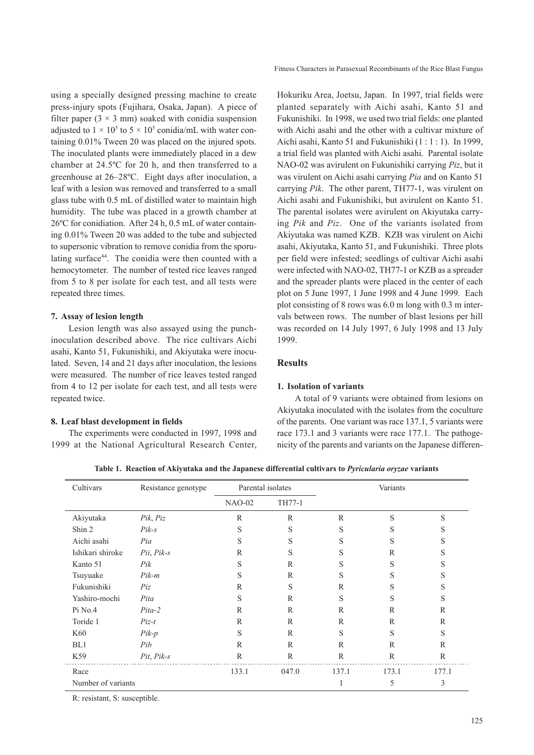using a specially designed pressing machine to create press-injury spots (Fujihara, Osaka, Japan). A piece of filter paper  $(3 \times 3 \text{ mm})$  soaked with conidia suspension adjusted to  $1 \times 10^5$  to  $5 \times 10^5$  conidia/mL with water containing 0.01% Tween 20 was placed on the injured spots. The inoculated plants were immediately placed in a dew chamber at 24.5ºC for 20 h, and then transferred to a greenhouse at 26–28ºC. Eight days after inoculation, a leaf with a lesion was removed and transferred to a small glass tube with 0.5 mL of distilled water to maintain high humidity. The tube was placed in a growth chamber at 26ºC for conidiation. After 24 h, 0.5 mL of water containing 0.01% Tween 20 was added to the tube and subjected to supersonic vibration to remove conidia from the sporulating surface44. The conidia were then counted with a hemocytometer. The number of tested rice leaves ranged from 5 to 8 per isolate for each test, and all tests were repeated three times.

# **7. Assay of lesion length**

Lesion length was also assayed using the punchinoculation described above. The rice cultivars Aichi asahi, Kanto 51, Fukunishiki, and Akiyutaka were inoculated. Seven, 14 and 21 days after inoculation, the lesions were measured. The number of rice leaves tested ranged from 4 to 12 per isolate for each test, and all tests were repeated twice.

# **8. Leaf blast development in fields**

The experiments were conducted in 1997, 1998 and 1999 at the National Agricultural Research Center,

Fitness Characters in Parasexual Recombinants of the Rice Blast Fungus

Hokuriku Area, Joetsu, Japan. In 1997, trial fields were planted separately with Aichi asahi, Kanto 51 and Fukunishiki. In 1998, we used two trial fields: one planted with Aichi asahi and the other with a cultivar mixture of Aichi asahi, Kanto 51 and Fukunishiki (1 : 1 : 1). In 1999, a trial field was planted with Aichi asahi. Parental isolate NAO-02 was avirulent on Fukunishiki carrying *Piz*, but it was virulent on Aichi asahi carrying *Pia* and on Kanto 51 carrying *Pik*. The other parent, TH77-1, was virulent on Aichi asahi and Fukunishiki, but avirulent on Kanto 51. The parental isolates were avirulent on Akiyutaka carrying *Pik* and *Piz*. One of the variants isolated from Akiyutaka was named KZB. KZB was virulent on Aichi asahi, Akiyutaka, Kanto 51, and Fukunishiki. Three plots per field were infested; seedlings of cultivar Aichi asahi were infected with NAO-02, TH77-1 or KZB as a spreader and the spreader plants were placed in the center of each plot on 5 June 1997, 1 June 1998 and 4 June 1999. Each plot consisting of 8 rows was 6.0 m long with 0.3 m intervals between rows. The number of blast lesions per hill was recorded on 14 July 1997, 6 July 1998 and 13 July 1999.

# **Results**

# **1. Isolation of variants**

A total of 9 variants were obtained from lesions on Akiyutaka inoculated with the isolates from the coculture of the parents. One variant was race 137.1, 5 variants were race 173.1 and 3 variants were race 177.1. The pathogenicity of the parents and variants on the Japanese differen-

**Table 1. Reaction of Akiyutaka and the Japanese differential cultivars to** *Pyricularia oryzae* **variants**

| Cultivars          | Resistance genotype | Parental isolates |              | Variants     |              |              |
|--------------------|---------------------|-------------------|--------------|--------------|--------------|--------------|
|                    |                     | $NAO-02$          | TH77-1       |              |              |              |
| Akiyutaka          | Pik, Piz            | $\mathbb{R}$      | $\mathbb{R}$ | R            | S            | S            |
| Shin 2             | $Pik-s$             | S                 | S            | S            | S            | S            |
| Aichi asahi        | Pia                 | S                 | S            | S            | S            | S            |
| Ishikari shiroke   | $Pii, Pik-s$        | R                 | S            | S            | $\mathbb{R}$ | S            |
| Kanto 51           | Pik                 | S                 | $\mathbb{R}$ | S            | S            | S            |
| Tsuyuake           | Pik-m               | S                 | $\mathbb{R}$ | S            | S            | S            |
| Fukunishiki        | Piz                 | $\mathbb{R}$      | S            | R            | S            | S            |
| Yashiro-mochi      | Pita                | S                 | $\mathbb{R}$ | S            | S            | S            |
| Pi No.4            | Pita-2              | R                 | $\mathbb{R}$ | R            | $\mathbb{R}$ | $\mathbb{R}$ |
| Toride 1           | $Piz-t$             | $\mathbb{R}$      | $\mathbb{R}$ | R            | $\mathbb{R}$ | $\mathbb{R}$ |
| K60                | $Pik-p$             | S                 | $\mathbb{R}$ | S            | S            | S            |
| BL1                | Pib                 | $\mathbb{R}$      | $\mathbb{R}$ | R            | $\mathbb{R}$ | $\mathbb{R}$ |
| K59                | $Pit, Pik-s$        | $\mathbb{R}$      | $\mathbb{R}$ | $\mathbb{R}$ | $\mathbb{R}$ | $\mathbb{R}$ |
| Race               |                     | 133.1             | 047.0        | 137.1        | 173.1        | 177.1        |
| Number of variants |                     |                   |              |              | 5            | 3            |

R: resistant, S: susceptible.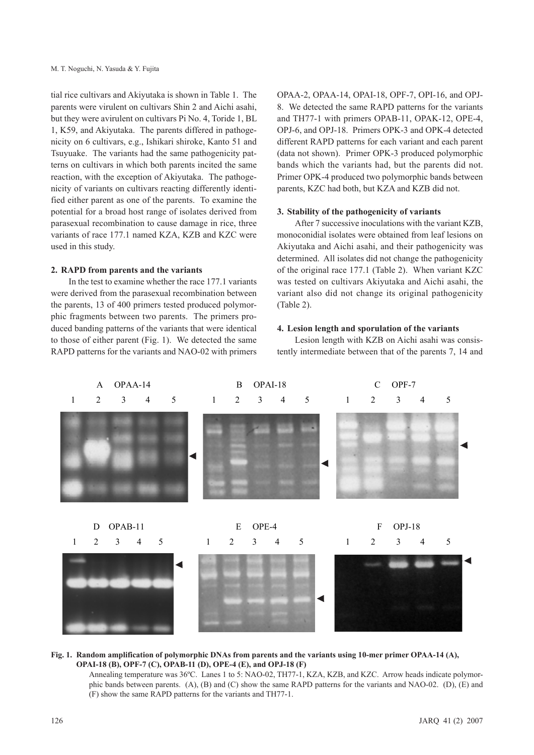tial rice cultivars and Akiyutaka is shown in Table 1. The parents were virulent on cultivars Shin 2 and Aichi asahi, but they were avirulent on cultivars Pi No. 4, Toride 1, BL 1, K59, and Akiyutaka. The parents differed in pathogenicity on 6 cultivars, e.g., Ishikari shiroke, Kanto 51 and Tsuyuake. The variants had the same pathogenicity patterns on cultivars in which both parents incited the same reaction, with the exception of Akiyutaka. The pathogenicity of variants on cultivars reacting differently identified either parent as one of the parents. To examine the potential for a broad host range of isolates derived from parasexual recombination to cause damage in rice, three variants of race 177.1 named KZA, KZB and KZC were used in this study.

### **2. RAPD from parents and the variants**

In the test to examine whether the race 177.1 variants were derived from the parasexual recombination between the parents, 13 of 400 primers tested produced polymorphic fragments between two parents. The primers produced banding patterns of the variants that were identical to those of either parent (Fig. 1). We detected the same RAPD patterns for the variants and NAO-02 with primers OPAA-2, OPAA-14, OPAI-18, OPF-7, OPI-16, and OPJ-8. We detected the same RAPD patterns for the variants and TH77-1 with primers OPAB-11, OPAK-12, OPE-4, OPJ-6, and OPJ-18. Primers OPK-3 and OPK-4 detected different RAPD patterns for each variant and each parent (data not shown). Primer OPK-3 produced polymorphic bands which the variants had, but the parents did not. Primer OPK-4 produced two polymorphic bands between parents, KZC had both, but KZA and KZB did not.

### **3. Stability of the pathogenicity of variants**

After 7 successive inoculations with the variant KZB, monoconidial isolates were obtained from leaf lesions on Akiyutaka and Aichi asahi, and their pathogenicity was determined. All isolates did not change the pathogenicity of the original race 177.1 (Table 2). When variant KZC was tested on cultivars Akiyutaka and Aichi asahi, the variant also did not change its original pathogenicity (Table 2).

#### **4. Lesion length and sporulation of the variants**

Lesion length with KZB on Aichi asahi was consistently intermediate between that of the parents 7, 14 and



### **Fig. 1. Random amplification of polymorphic DNAs from parents and the variants using 10-mer primer OPAA-14 (A), OPAI-18 (B), OPF-7 (C), OPAB-11 (D), OPE-4 (E), and OPJ-18 (F)**

Annealing temperature was 36ºC. Lanes 1 to 5: NAO-02, TH77-1, KZA, KZB, and KZC. Arrow heads indicate polymorphic bands between parents. (A), (B) and (C) show the same RAPD patterns for the variants and NAO-02. (D), (E) and (F) show the same RAPD patterns for the variants and TH77-1.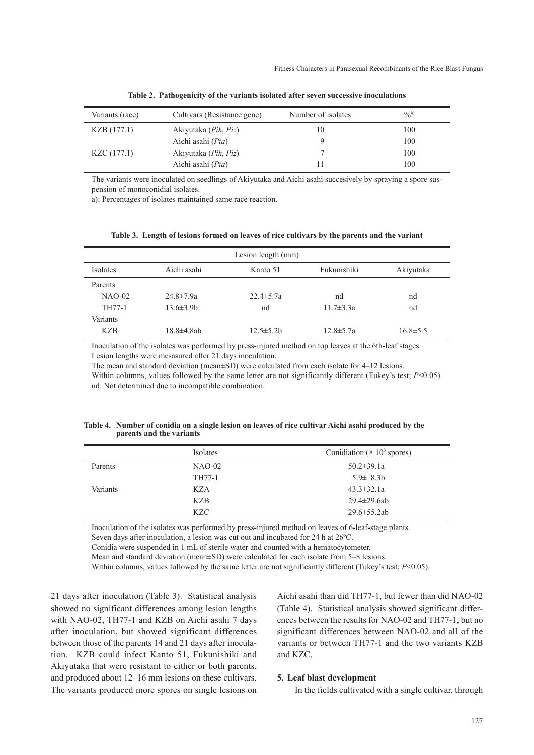| Variants (race) | Cultivars (Resistance gene)           | Number of isolates | $^{0}(a)$ |
|-----------------|---------------------------------------|--------------------|-----------|
| KZB(177.1)      | Akiyutaka ( <i>Pik</i> , <i>Piz</i> ) | 10                 | 100       |
|                 | Aichi asahi (Pia)                     | Q                  | 100       |
| KZC (177.1)     | Akiyutaka ( <i>Pik</i> , <i>Piz</i> ) |                    | 100       |
|                 | Aichi asahi (Pia)                     |                    | 100       |

**Table 2. Pathogenicity of the variants isolated after seven successive inoculations**

The variants were inoculated on seedlings of Akiyutaka and Aichi asahi succesively by spraying a spore suspension of monoconidial isolates.

a): Percentages of isolates maintained same race reaction.

|            |                   | Lesion length (mm) |                 |                |
|------------|-------------------|--------------------|-----------------|----------------|
| Isolates   | Aichi asahi       | Kanto 51           | Fukunishiki     | Akiyutaka      |
| Parents    |                   |                    |                 |                |
| $NAO-02$   | $24.8 \pm 7.9a$   | $22.4 \pm 5.7a$    | nd              | nd             |
| TH77-1     | $13.6 \pm 3.9 b$  | nd                 | $11.7 \pm 3.3a$ | nd             |
| Variants   |                   |                    |                 |                |
| <b>KZB</b> | $18.8 \pm 4.8$ ab | $12.5 \pm 5.2$ h   | $12.8 \pm 5.7a$ | $16.8 \pm 5.5$ |

| Table 3. Length of lesions formed on leaves of rice cultivars by the parents and the variant |  |  |
|----------------------------------------------------------------------------------------------|--|--|
|----------------------------------------------------------------------------------------------|--|--|

Inoculation of the isolates was performed by press-injured method on top leaves at the 6th-leaf stages. Lesion lengths were mesasured after 21 days inoculation.

The mean and standard deviation (mean±SD) were calculated from each isolate for 4–12 lesions. Within columns, values followed by the same letter are not significantly different (Tukey's test; *P*<0.05). nd: Not determined due to incompatible combination.

| Table 4. Number of conidia on a single lesion on leaves of rice cultivar Aichi asahi produced by the |
|------------------------------------------------------------------------------------------------------|
| parents and the variants                                                                             |

|          | Isolates   | Conidiation ( $\times$ 10 <sup>3</sup> spores) |
|----------|------------|------------------------------------------------|
| Parents  | $NAO-02$   | $50.2 \pm 39.1a$                               |
|          | TH77-1     | $5.9 \pm 8.3 h$                                |
| Variants | KZA        | $43.3 \pm 32.1a$                               |
|          | KZB        | $29.4 \pm 29.6$ ab                             |
|          | <b>KZC</b> | $29.6 \pm 55.2$ ab                             |

Inoculation of the isolates was performed by press-injured method on leaves of 6-leaf-stage plants. Seven days after inoculation, a lesion was cut out and incubated for 24 h at 26ºC.

Conidia were suspended in 1 mL of sterile water and counted with a hematocytometer.

Mean and standard deviation (mean±SD) were calculated for each isolate from 5–8 lesions.

Within columns, values followed by the same letter are not significantly different (Tukey's test; *P*<0.05).

21 days after inoculation (Table 3). Statistical analysis showed no significant differences among lesion lengths with NAO-02, TH77-1 and KZB on Aichi asahi 7 days after inoculation, but showed significant differences between those of the parents 14 and 21 days after inoculation. KZB could infect Kanto 51, Fukunishiki and Akiyutaka that were resistant to either or both parents, and produced about 12–16 mm lesions on these cultivars. The variants produced more spores on single lesions on

Aichi asahi than did TH77-1, but fewer than did NAO-02 (Table 4). Statistical analysis showed significant differences between the results for NAO-02 and TH77-1, but no significant differences between NAO-02 and all of the variants or between TH77-1 and the two variants KZB and KZC.

#### **5. Leaf blast development**

In the fields cultivated with a single cultivar, through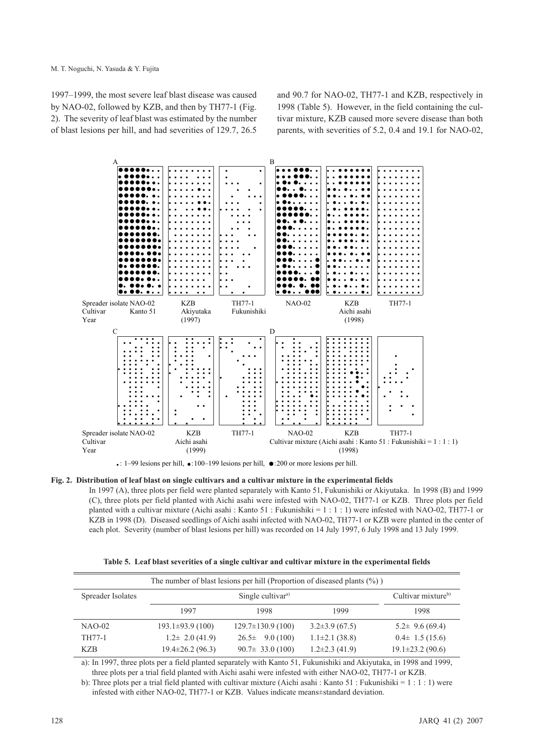1997–1999, the most severe leaf blast disease was caused by NAO-02, followed by KZB, and then by TH77-1 (Fig. 2). The severity of leaf blast was estimated by the number of blast lesions per hill, and had severities of 129.7, 26.5

and 90.7 for NAO-02, TH77-1 and KZB, respectively in 1998 (Table 5). However, in the field containing the cultivar mixture, KZB caused more severe disease than both parents, with severities of 5.2, 0.4 and 19.1 for NAO-02,



#### **Fig. 2. Distribution of leaf blast on single cultivars and a cultivar mixture in the experimental fields**

In 1997 (A), three plots per field were planted separately with Kanto 51, Fukunishiki or Akiyutaka. In 1998 (B) and 1999 (C), three plots per field planted with Aichi asahi were infested with NAO-02, TH77-1 or KZB. Three plots per field planted with a cultivar mixture (Aichi asahi : Kanto 51 : Fukunishiki =  $1 : 1 : 1$ ) were infested with NAO-02, TH77-1 or KZB in 1998 (D). Diseased seedlings of Aichi asahi infected with NAO-02, TH77-1 or KZB were planted in the center of each plot. Severity (number of blast lesions per hill) was recorded on 14 July 1997, 6 July 1998 and 13 July 1999.

**Table 5. Leaf blast severities of a single cultivar and cultivar mixture in the experimental fields** 

| The number of blast lesions per hill (Proportion of diseased plants $(\%)$ ) |                                                                 |                       |                    |                        |
|------------------------------------------------------------------------------|-----------------------------------------------------------------|-----------------------|--------------------|------------------------|
| Spreader Isolates                                                            | Cultivar mixture <sup>b)</sup><br>Single cultivar <sup>a)</sup> |                       |                    |                        |
|                                                                              | 1997                                                            | 1998                  | 1999               | 1998                   |
| $NAO-02$                                                                     | $193.1\pm93.9(100)$                                             | $129.7\pm130.9(100)$  | $3.2\pm3.9(67.5)$  | $5.2\pm 9.6(69.4)$     |
| TH77-1                                                                       | $1.2\pm 2.0$ (41.9)                                             | $26.5\pm 9.0(100)$    | $1.1\pm2.1(38.8)$  | $0.4\pm 1.5(15.6)$     |
| KZB.                                                                         | $19.4 \pm 26.2$ (96.3)                                          | $90.7 \pm 33.0$ (100) | $1.2\pm2.3$ (41.9) | $19.1 \pm 23.2$ (90.6) |

a): In 1997, three plots per a field planted separately with Kanto 51, Fukunishiki and Akiyutaka, in 1998 and 1999, three plots per a trial field planted with Aichi asahi were infested with either NAO-02, TH77-1 or KZB.

b): Three plots per a trial field planted with cultivar mixture (Aichi asahi : Kanto 51 : Fukunishiki = 1 : 1 : 1) were infested with either NAO-02, TH77-1 or KZB. Values indicate means±standard deviation.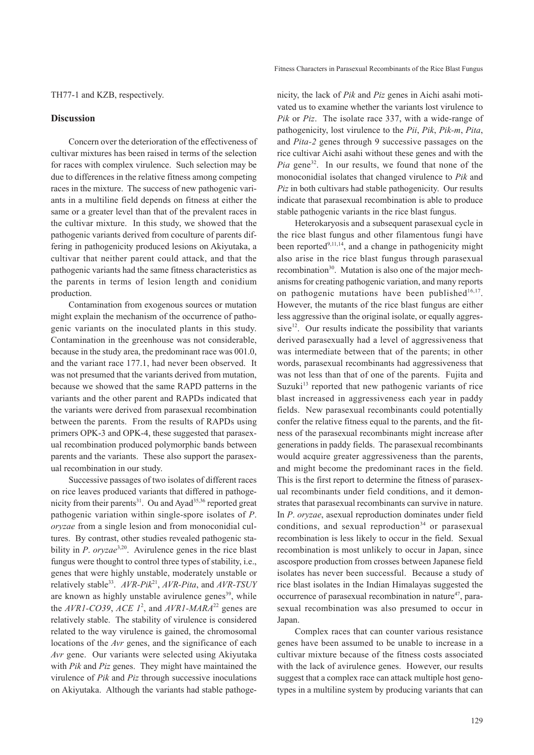TH77-1 and KZB, respectively.

### **Discussion**

Concern over the deterioration of the effectiveness of cultivar mixtures has been raised in terms of the selection for races with complex virulence. Such selection may be due to differences in the relative fitness among competing races in the mixture. The success of new pathogenic variants in a multiline field depends on fitness at either the same or a greater level than that of the prevalent races in the cultivar mixture. In this study, we showed that the pathogenic variants derived from coculture of parents differing in pathogenicity produced lesions on Akiyutaka, a cultivar that neither parent could attack, and that the pathogenic variants had the same fitness characteristics as the parents in terms of lesion length and conidium production.

Contamination from exogenous sources or mutation might explain the mechanism of the occurrence of pathogenic variants on the inoculated plants in this study. Contamination in the greenhouse was not considerable, because in the study area, the predominant race was 001.0, and the variant race 177.1, had never been observed. It was not presumed that the variants derived from mutation, because we showed that the same RAPD patterns in the variants and the other parent and RAPDs indicated that the variants were derived from parasexual recombination between the parents. From the results of RAPDs using primers OPK-3 and OPK-4, these suggested that parasexual recombination produced polymorphic bands between parents and the variants. These also support the parasexual recombination in our study.

Successive passages of two isolates of different races on rice leaves produced variants that differed in pathogenicity from their parents<sup>31</sup>. Ou and Ayad<sup>35,36</sup> reported great pathogenic variation within single-spore isolates of *P*. *oryzae* from a single lesion and from monoconidial cultures. By contrast, other studies revealed pathogenic stability in *P. oryzae*<sup>3,20</sup>. Avirulence genes in the rice blast fungus were thought to control three types of stability, i.e., genes that were highly unstable, moderately unstable or relatively stable33. *AVR-Pik*21, *AVR-Pita*, and *AVR-TSUY* are known as highly unstable avirulence genes<sup>39</sup>, while the  $AVRI-CO39$ ,  $ACE$   $1^2$ , and  $AVRI-MARA^{22}$  genes are relatively stable. The stability of virulence is considered related to the way virulence is gained, the chromosomal locations of the *Avr* genes, and the significance of each *Avr* gene. Our variants were selected using Akiyutaka with *Pik* and *Piz* genes. They might have maintained the virulence of *Pik* and *Piz* through successive inoculations on Akiyutaka. Although the variants had stable pathogenicity, the lack of *Pik* and *Piz* genes in Aichi asahi motivated us to examine whether the variants lost virulence to *Pik* or *Piz*. The isolate race 337, with a wide-range of pathogenicity, lost virulence to the *Pii*, *Pik*, *Pik-m*, *Pita*, and *Pita-2* genes through 9 successive passages on the rice cultivar Aichi asahi without these genes and with the *Pia* gene<sup>32</sup>. In our results, we found that none of the monoconidial isolates that changed virulence to *Pik* and *Piz* in both cultivars had stable pathogenicity. Our results indicate that parasexual recombination is able to produce stable pathogenic variants in the rice blast fungus.

Heterokaryosis and a subsequent parasexual cycle in the rice blast fungus and other filamentous fungi have been reported $9,11,14$ , and a change in pathogenicity might also arise in the rice blast fungus through parasexual recombination<sup>30</sup>. Mutation is also one of the major mechanisms for creating pathogenic variation, and many reports on pathogenic mutations have been published $16,17$ . However, the mutants of the rice blast fungus are either less aggressive than the original isolate, or equally aggressive $12$ . Our results indicate the possibility that variants derived parasexually had a level of aggressiveness that was intermediate between that of the parents; in other words, parasexual recombinants had aggressiveness that was not less than that of one of the parents. Fujita and Suzuki $13$  reported that new pathogenic variants of rice blast increased in aggressiveness each year in paddy fields. New parasexual recombinants could potentially confer the relative fitness equal to the parents, and the fitness of the parasexual recombinants might increase after generations in paddy fields. The parasexual recombinants would acquire greater aggressiveness than the parents, and might become the predominant races in the field. This is the first report to determine the fitness of parasexual recombinants under field conditions, and it demonstrates that parasexual recombinants can survive in nature. In *P*. *oryzae*, asexual reproduction dominates under field conditions, and sexual reproduction<sup>34</sup> or parasexual recombination is less likely to occur in the field. Sexual recombination is most unlikely to occur in Japan, since ascospore production from crosses between Japanese field isolates has never been successful. Because a study of rice blast isolates in the Indian Himalayas suggested the occurrence of parasexual recombination in nature<sup>47</sup>, parasexual recombination was also presumed to occur in Japan.

Complex races that can counter various resistance genes have been assumed to be unable to increase in a cultivar mixture because of the fitness costs associated with the lack of avirulence genes. However, our results suggest that a complex race can attack multiple host genotypes in a multiline system by producing variants that can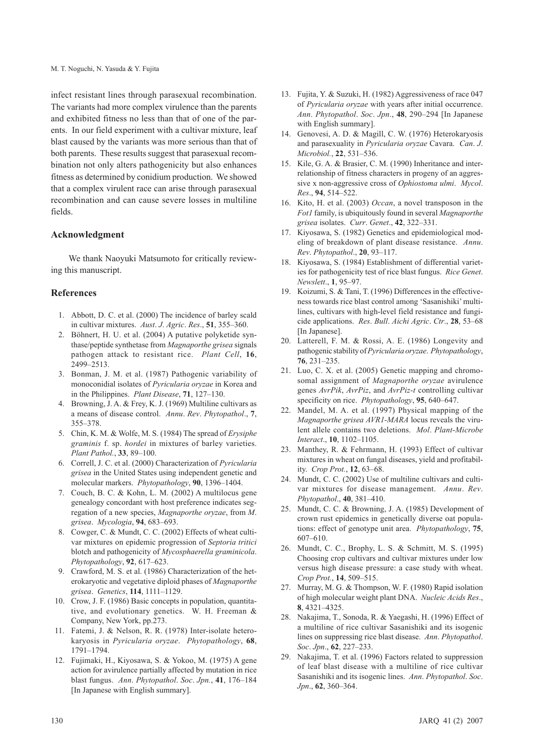infect resistant lines through parasexual recombination. The variants had more complex virulence than the parents and exhibited fitness no less than that of one of the parents. In our field experiment with a cultivar mixture, leaf blast caused by the variants was more serious than that of both parents. These results suggest that parasexual recombination not only alters pathogenicity but also enhances fitness as determined by conidium production. We showed that a complex virulent race can arise through parasexual recombination and can cause severe losses in multiline fields.

# **Acknowledgment**

We thank Naoyuki Matsumoto for critically reviewing this manuscript.

## **References**

- 1. Abbott, D. C. et al. (2000) The incidence of barley scald in cultivar mixtures. *Aust*. *J*. *Agric*. *Res*., **51**, 355–360.
- 2. Böhnert, H. U. et al. (2004) A putative polyketide synthase/peptide synthetase from *Magnaporthe grisea* signals pathogen attack to resistant rice. *Plant Cell*, **16**, 2499–2513.
- 3. Bonman, J. M. et al. (1987) Pathogenic variability of monoconidial isolates of *Pyricularia oryzae* in Korea and in the Philippines. *Plant Disease*, **71**, 127–130.
- 4. Browning, J. A. & Frey, K. J. (1969) Multiline cultivars as a means of disease control. *Annu*. *Rev*. *Phytopathol*., **7**, 355–378.
- 5. Chin, K. M. & Wolfe, M. S. (1984) The spread of *Erysiphe graminis* f. sp. *hordei* in mixtures of barley varieties. *Plant Pathol.*, **33**, 89–100.
- 6. Correll, J. C. et al. (2000) Characterization of *Pyricularia grisea* in the United States using independent genetic and molecular markers. *Phytopathology*, **90**, 1396–1404.
- 7. Couch, B. C. & Kohn, L. M. (2002) A multilocus gene genealogy concordant with host preference indicates segregation of a new species, *Magnaporthe oryzae*, from *M*. *grisea*. *Mycologia*, **94**, 683–693.
- 8. Cowger, C. & Mundt, C. C. (2002) Effects of wheat cultivar mixtures on epidemic progression of *Septoria tritici* blotch and pathogenicity of *Mycosphaerella graminicola*. *Phytopathology*, **92**, 617–623.
- 9. Crawford, M. S. et al. (1986) Characterization of the heterokaryotic and vegetative diploid phases of *Magnaporthe grisea*. *Genetics*, **114**, 1111–1129.
- 10. Crow, J. F. (1986) Basic concepts in population, quantitative, and evolutionary genetics. W. H. Freeman & Company, New York, pp.273.
- 11. Fatemi, J. & Nelson, R. R. (1978) Inter-isolate heterokaryosis in *Pyricularia oryzae*. *Phytopathology*, **68**, 1791–1794.
- 12. Fujimaki, H., Kiyosawa, S. & Yokoo, M. (1975) A gene action for avirulence partially affected by mutation in rice blast fungus. *Ann*. *Phytopathol*. *Soc*. *Jpn.*, **41**, 176–184 [In Japanese with English summary].
- 13. Fujita, Y. & Suzuki, H. (1982) Aggressiveness of race 047 of *Pyricularia oryzae* with years after initial occurrence. *Ann*. *Phytopathol*. *Soc*. *Jpn*., **48**, 290–294 [In Japanese with English summary].
- 14. Genovesi, A. D. & Magill, C. W. (1976) Heterokaryosis and parasexuality in *Pyricularia oryzae* Cavara. *Can*. *J*. *Microbiol.*, **22**, 531–536.
- 15. Kile, G. A. & Brasier, C. M. (1990) Inheritance and interrelationship of fitness characters in progeny of an aggressive x non-aggressive cross of *Ophiostoma ulmi*. *Mycol*. *Res*., **94**, 514–522.
- 16. Kito, H. et al. (2003) *Occan*, a novel transposon in the *Fot1* family, is ubiquitously found in several *Magnaporthe grisea* isolates. *Curr*. *Genet*., **42**, 322–331.
- 17. Kiyosawa, S. (1982) Genetics and epidemiological modeling of breakdown of plant disease resistance. *Annu*. *Rev*. *Phytopathol*., **20**, 93–117.
- 18. Kiyosawa, S. (1984) Establishment of differential varieties for pathogenicity test of rice blast fungus. *Rice Genet*. *Newslett*., **1**, 95–97.
- 19. Koizumi, S. & Tani, T. (1996) Differences in the effectiveness towards rice blast control among 'Sasanishiki' multilines, cultivars with high-level field resistance and fungicide applications. *Res*. *Bull*. *Aichi Agric*. *Ctr*., **28**, 53–68 [In Japanese].
- 20. Latterell, F. M. & Rossi, A. E. (1986) Longevity and pathogenic stability of *Pyricularia oryzae*. *Phytopathology*, **76**, 231–235.
- 21. Luo, C. X. et al. (2005) Genetic mapping and chromosomal assignment of *Magnaporthe oryzae* avirulence genes *AvrPik*, *AvrPiz*, and *AvrPiz-t* controlling cultivar specificity on rice. *Phytopathology*, **95**, 640–647.
- 22. Mandel, M. A. et al. (1997) Physical mapping of the *Magnaporthe grisea AVR1-MARA* locus reveals the virulent allele contains two deletions. *Mol*. *Plant-Microbe Interact*., **10**, 1102–1105.
- 23. Manthey, R. & Fehrmann, H. (1993) Effect of cultivar mixtures in wheat on fungal diseases, yield and profitability. *Crop Prot.*, **12**, 63–68.
- 24. Mundt, C. C. (2002) Use of multiline cultivars and cultivar mixtures for disease management. *Annu*. *Rev*. *Phytopathol*., **40**, 381–410.
- 25. Mundt, C. C. & Browning, J. A. (1985) Development of crown rust epidemics in genetically diverse oat populations: effect of genotype unit area. *Phytopathology*, **75**, 607–610.
- 26. Mundt, C. C., Brophy, L. S. & Schmitt, M. S. (1995) Choosing crop cultivars and cultivar mixtures under low versus high disease pressure: a case study with wheat. *Crop Prot.*, **14**, 509–515.
- 27. Murray, M. G. & Thompson, W. F. (1980) Rapid isolation of high molecular weight plant DNA. *Nucleic Acids Res*., **8**, 4321–4325.
- 28. Nakajima, T., Sonoda, R. & Yaegashi, H. (1996) Effect of a multiline of rice cultivar Sasanishiki and its isogenic lines on suppressing rice blast disease. *Ann*. *Phytopathol*. *Soc*. *Jpn*., **62**, 227–233.
- 29. Nakajima, T. et al. (1996) Factors related to suppression of leaf blast disease with a multiline of rice cultivar Sasanishiki and its isogenic lines. *Ann*. *Phytopathol*. *Soc*. *Jpn*., **62**, 360–364.